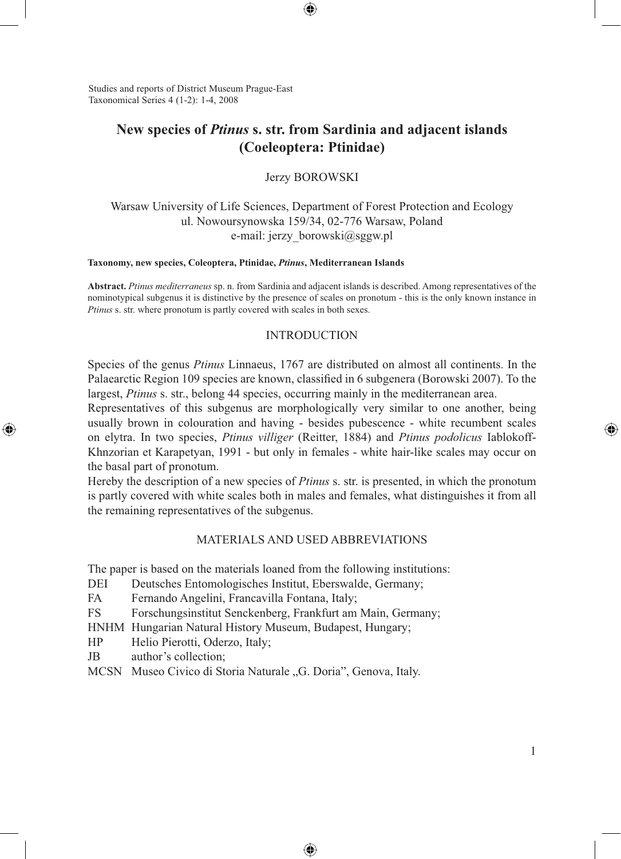Studies and reports of District Museum Prague-East Taxonomical Series 4 (1-2): 1-4, 2008

# **New species of** *Ptinus* **s. str. from Sardinia and adjacent islands (Coeleoptera: Ptinidae)**

⊕

Jerzy BOROWSKI

Warsaw University of Life Sciences, Department of Forest Protection and Ecology ul. Nowoursynowska 159/34, 02-776 Warsaw, Poland e-mail: jerzy\_borowski@sggw.pl

#### **Taxonomy, new species, Coleoptera, Ptinidae,** *Ptinus***, Mediterranean Islands**

**Abstract.** *Ptinus mediterraneus* sp. n. from Sardinia and adjacent islands is described. Among representatives of the nominotypical subgenus it is distinctive by the presence of scales on pronotum - this is the only known instance in *Ptinus* s. str. where pronotum is partly covered with scales in both sexes.

### **INTRODUCTION**

Species of the genus *Ptinus* Linnaeus, 1767 are distributed on almost all continents. In the Palaearctic Region 109 species are known, classified in 6 subgenera (Borowski 2007). To the largest, *Ptinus* s. str., belong 44 species, occurring mainly in the mediterranean area.

Representatives of this subgenus are morphologically very similar to one another, being usually brown in colouration and having - besides pubescence - white recumbent scales on elytra. In two species, *Ptinus villiger* (Reitter, 1884) and *Ptinus podolicus* Iablokoff-Khnzorian et Karapetyan, 1991 - but only in females - white hair-like scales may occur on the basal part of pronotum.

Hereby the description of a new species of *Ptinus* s. str. is presented, in which the pronotum is partly covered with white scales both in males and females, what distinguishes it from all the remaining representatives of the subgenus.

## MATERIALS AND USED ABBREVIATIONS

⊕

The paper is based on the materials loaned from the following institutions:

- DEI Deutsches Entomologisches Institut, Eberswalde, Germany;
- FA Fernando Angelini, Francavilla Fontana, Italy;
- FS Forschungsinstitut Senckenberg, Frankfurt am Main, Germany;

HNHM Hungarian Natural History Museum, Budapest, Hungary;

- HP Helio Pierotti, Oderzo, Italy;
- JB author's collection;

⊕

MCSN Museo Civico di Storia Naturale "G. Doria", Genova, Italy.

⊕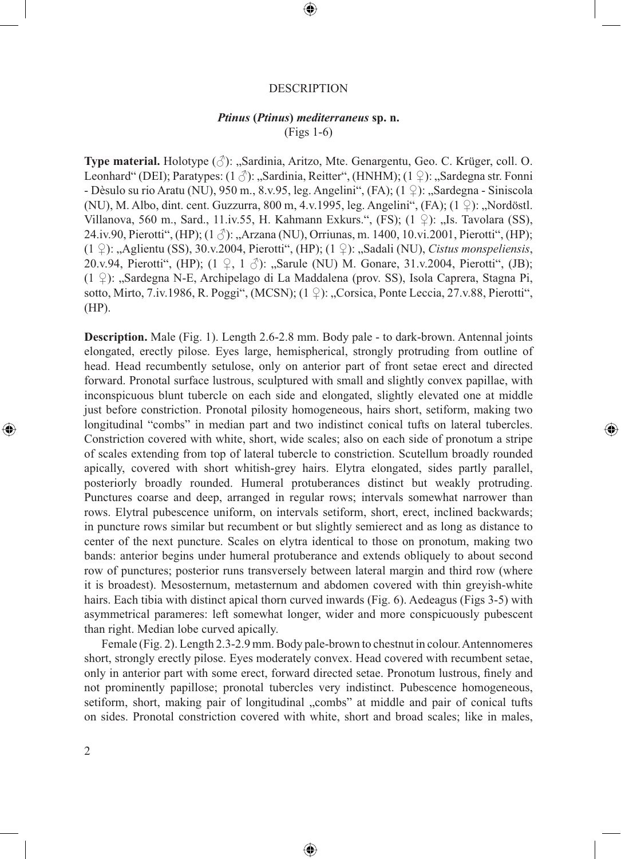#### DESCRIPTION

 $\bigcirc$ 

### *Ptinus* **(***Ptinus***)** *mediterraneus* **sp. n.** (Figs 1-6)

**Type material.** Holotype (♂): "Sardinia, Aritzo, Mte. Genargentu, Geo. C. Krüger, coll. O. Leonhard" (DEI); Paratypes: (1  $\Diamond$ ): "Sardinia, Reitter", (HNHM); (1  $\Diamond$ ): "Sardegna str. Fonni - Dèsulo su rio Aratu (NU), 950 m., 8.v.95, leg. Angelini", (FA);  $(1 \n\textdegree)$ : "Sardegna - Siniscola (NU), M. Albo, dint. cent. Guzzurra, 800 m, 4.v.1995, leg. Angelini", (FA);  $(1 \nsubseteq)$ : "Nordöstl. Villanova, 560 m., Sard., 11.iv.55, H. Kahmann Exkurs.", (FS);  $(1 \nvert 2)$ : "Is. Tavolara (SS), 24.iv.90, Pierotti", (HP);  $(1 \text{ }\beta)$ :  $\text{Arzana}$  (NU), Orriunas, m. 1400, 10.vi.2001, Pierotti", (HP); (1 ♀): "Aglientu (SS), 30.v.2004, Pierotti", (HP); (1 ♀): "Sadali (NU), *Cistus monspeliensis*, 20.v.94, Pierotti", (HP); (1 ♀, 1 ♂): "Sarule (NU) M. Gonare, 31.v.2004, Pierotti", (JB); (1 ♀): "Sardegna N-E, Archipelago di La Maddalena (prov. SS), Isola Caprera, Stagna Pi, sotto, Mirto, 7.iv.1986, R. Poggi", (MCSN);  $(1 \nsubseteq)$ : "Corsica, Ponte Leccia, 27.v.88, Pierotti", (HP).

**Description.** Male (Fig. 1). Length 2.6-2.8 mm. Body pale - to dark-brown. Antennal joints elongated, erectly pilose. Eyes large, hemispherical, strongly protruding from outline of head. Head recumbently setulose, only on anterior part of front setae erect and directed forward. Pronotal surface lustrous, sculptured with small and slightly convex papillae, with inconspicuous blunt tubercle on each side and elongated, slightly elevated one at middle just before constriction. Pronotal pilosity homogeneous, hairs short, setiform, making two longitudinal "combs" in median part and two indistinct conical tufts on lateral tubercles. Constriction covered with white, short, wide scales; also on each side of pronotum a stripe of scales extending from top of lateral tubercle to constriction. Scutellum broadly rounded apically, covered with short whitish-grey hairs. Elytra elongated, sides partly parallel, posteriorly broadly rounded. Humeral protuberances distinct but weakly protruding. Punctures coarse and deep, arranged in regular rows; intervals somewhat narrower than rows. Elytral pubescence uniform, on intervals setiform, short, erect, inclined backwards; in puncture rows similar but recumbent or but slightly semierect and as long as distance to center of the next puncture. Scales on elytra identical to those on pronotum, making two bands: anterior begins under humeral protuberance and extends obliquely to about second row of punctures; posterior runs transversely between lateral margin and third row (where it is broadest). Mesosternum, metasternum and abdomen covered with thin greyish-white hairs. Each tibia with distinct apical thorn curved inwards (Fig. 6). Aedeagus (Figs 3-5) with asymmetrical parameres: left somewhat longer, wider and more conspicuously pubescent than right. Median lobe curved apically.

⊕

Female (Fig. 2). Length 2.3-2.9 mm. Body pale-brown to chestnut in colour. Antennomeres short, strongly erectly pilose. Eyes moderately convex. Head covered with recumbent setae, only in anterior part with some erect, forward directed setae. Pronotum lustrous, finely and not prominently papillose; pronotal tubercles very indistinct. Pubescence homogeneous, setiform, short, making pair of longitudinal "combs" at middle and pair of conical tufts on sides. Pronotal constriction covered with white, short and broad scales; like in males,

⊕

⊕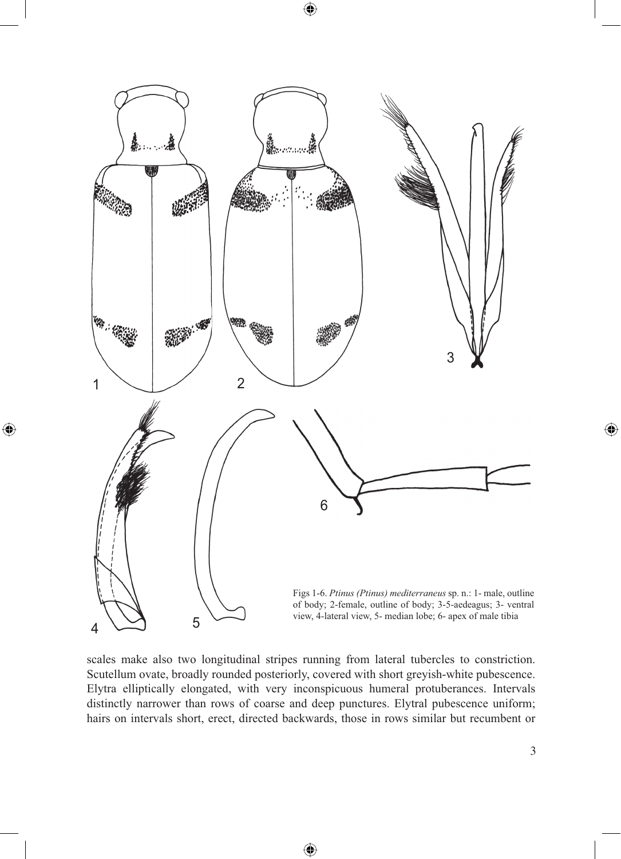

 $\bigoplus$ 

 $\bigoplus$ 

scales make also two longitudinal stripes running from lateral tubercles to constriction. Scutellum ovate, broadly rounded posteriorly, covered with short greyish-white pubescence. Elytra elliptically elongated, with very inconspicuous humeral protuberances. Intervals distinctly narrower than rows of coarse and deep punctures. Elytral pubescence uniform; hairs on intervals short, erect, directed backwards, those in rows similar but recumbent or

⊕

 $\bigoplus$